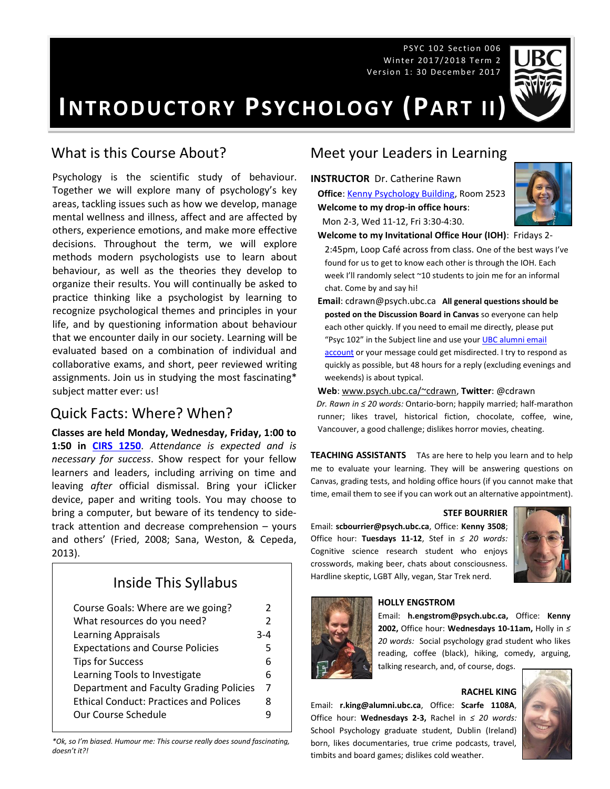PSYC 102 Section 006 Win te r 201 5/2 016 Te rm 2 Win te r 201 7/2 018 Te rm 2 Ver sio n 1: Dec em b er 20 15 Ver sio n 1: 30 Dec em b er 2 017



**INTRODUCTORY PSYCHOLOGY (PART II)**

## What is this Course About?

Psychology is the scientific study of behaviour. Together we will explore many of psychology's key areas, tackling issues such as how we develop, manage mental wellness and illness, affect and are affected by others, experience emotions, and make more effective decisions. Throughout the term, we will explore methods modern psychologists use to learn about behaviour, as well as the theories they develop to organize their results. You will continually be asked to practice thinking like a psychologist by learning to recognize psychological themes and principles in your life, and by questioning information about behaviour that we encounter daily in our society. Learning will be evaluated based on a combination of individual and collaborative exams, and short, peer reviewed writing assignments. Join us in studying the most fascinating\* subject matter ever: us!

## Quick Facts: Where? When?

**Classes are held Monday, Wednesday, Friday, 1:00 to 1:50 in [CIRS 1250](http://www.maps.ubc.ca/PROD/index_detail.php?locat1=633)**. *Attendance is expected and is necessary for success*. Show respect for your fellow learners and leaders, including arriving on time and leaving *after* official dismissal. Bring your iClicker device, paper and writing tools. You may choose to bring a computer, but beware of its tendency to sidetrack attention and decrease comprehension – yours and others' (Fried, 2008; Sana, Weston, & Cepeda, 2013).

# Inside This Syllabus

| Course Goals: Where are we going?             | 2             |
|-----------------------------------------------|---------------|
| What resources do you need?                   | $\mathcal{P}$ |
| <b>Learning Appraisals</b>                    | $3 - 4$       |
| <b>Expectations and Course Policies</b>       | 5             |
| <b>Tips for Success</b>                       | 6             |
| Learning Tools to Investigate                 | 6             |
| Department and Faculty Grading Policies       | 7             |
| <b>Ethical Conduct: Practices and Polices</b> | 8             |
| Our Course Schedule                           |               |

*\*Ok, so I'm biased. Humour me: This course really does sound fascinating, doesn't it?!*

## Meet your Leaders in Learning

**INSTRUCTOR** Dr. Catherine Rawn **Office**[: Kenny Psychology Building,](http://www.maps.ubc.ca/PROD/index_detail.php?locat1=732) Room 2523 **Welcome to my drop-in office hours**: Mon 2-3, Wed 11-12, Fri 3:30-4:30.



**Welcome to my Invitational Office Hour (IOH)**: Fridays 2- 2:45pm, Loop Café across from class. One of the best ways I've

found for us to get to know each other is through the IOH. Each week I'll randomly select ~10 students to join me for an informal chat. Come by and say hi!

**Email**: cdrawn@psych.ubc.ca **All general questions should be posted on the Discussion Board in Canvas** so everyone can help each other quickly. If you need to email me directly, please put "Psyc 102" in the Subject line and use your **UBC alumni email** [account](http://it.ubc.ca/services/email-voice-internet/student-alumni-email-service) or your message could get misdirected. I try to respond as quickly as possible, but 48 hours for a reply (excluding evenings and weekends) is about typical.

**Web**[: www.psych.ubc.ca/~cdrawn,](http://www.psych.ubc.ca/~cdrawn) **Twitter**: @cdrawn

*Dr. Rawn in ≤ 20 words:* Ontario-born; happily married; half-marathon runner; likes travel, historical fiction, chocolate, coffee, wine, Vancouver, a good challenge; dislikes horror movies, cheating.

**TEACHING ASSISTANTS** TAs are here to help you learn and to help me to evaluate your learning. They will be answering questions on Canvas, grading tests, and holding office hours (if you cannot make that time, email them to see if you can work out an alternative appointment).

#### **STEF BOURRIER**

Email: **scbourrier@psych.ubc.ca**, Office: **Kenny 3508**; Office hour: **Tuesdays 11-12**, Stef in *≤ 20 words:* Cognitive science research student who enjoys crosswords, making beer, chats about consciousness. Hardline skeptic, LGBT Ally, vegan, Star Trek nerd.





#### **HOLLY ENGSTROM**

Email: **h.engstrom@psych.ubc.ca,** Office: **Kenny 2002,** Office hour: **Wednesdays 10-11am,** Holly in *≤ 20 words:* Social psychology grad student who likes reading, coffee (black), hiking, comedy, arguing, talking research, and, of course, dogs.

**RACHEL KING**

Email: **r.king@alumni.ubc.ca**, Office: **Scarfe 1108A**, Office hour: **Wednesdays 2-3,** Rachel in *≤ 20 words:* School Psychology graduate student, Dublin (Ireland) born, likes documentaries, true crime podcasts, travel, timbits and board games; dislikes cold weather.

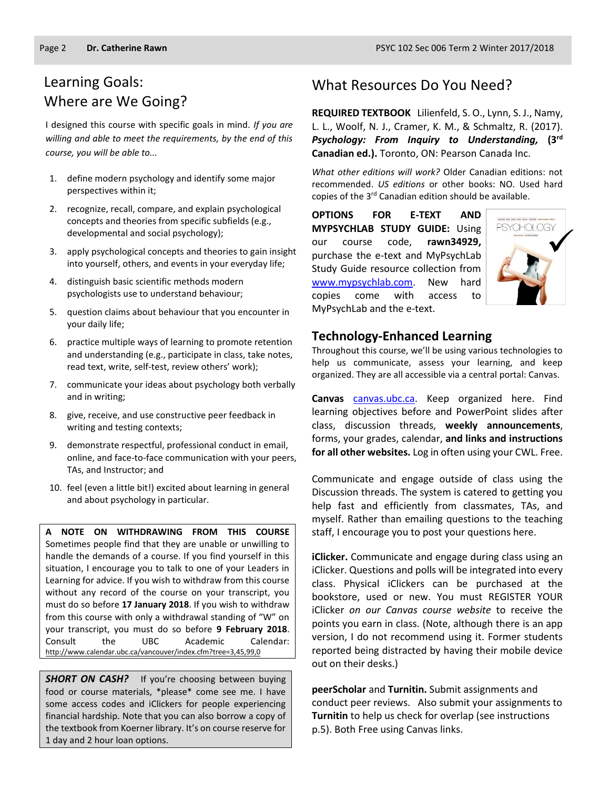# Learning Goals: Where are We Going?

I designed this course with specific goals in mind. *If you are willing and able to meet the requirements, by the end of this course, you will be able to...*

- 1. define modern psychology and identify some major perspectives within it;
- 2. recognize, recall, compare, and explain psychological concepts and theories from specific subfields (e.g., developmental and social psychology);
- 3. apply psychological concepts and theories to gain insight into yourself, others, and events in your everyday life;
- 4. distinguish basic scientific methods modern psychologists use to understand behaviour;
- 5. question claims about behaviour that you encounter in your daily life;
- 6. practice multiple ways of learning to promote retention and understanding (e.g., participate in class, take notes, read text, write, self-test, review others' work);
- 7. communicate your ideas about psychology both verbally and in writing;
- 8. give, receive, and use constructive peer feedback in writing and testing contexts;
- 9. demonstrate respectful, professional conduct in email, online, and face-to-face communication with your peers, TAs, and Instructor; and
- 10. feel (even a little bit!) excited about learning in general and about psychology in particular.

**A NOTE ON WITHDRAWING FROM THIS COURSE**  Sometimes people find that they are unable or unwilling to handle the demands of a course. If you find yourself in this situation, I encourage you to talk to one of your Leaders in Learning for advice. If you wish to withdraw from this course without any record of the course on your transcript, you must do so before **17 January 2018**. If you wish to withdraw from this course with only a withdrawal standing of "W" on your transcript, you must do so before **9 February 2018**. Consult the UBC Academic Calendar: <http://www.calendar.ubc.ca/vancouver/index.cfm?tree=3,45,99,0>

**SHORT ON CASH?** If you're choosing between buying food or course materials, \*please\* come see me. I have some access codes and iClickers for people experiencing financial hardship. Note that you can also borrow a copy of the textbook from Koerner library. It's on course reserve for 1 day and 2 hour loan options.

#### What Resources Do You Need?

**REQUIRED TEXTBOOK** Lilienfeld, S. O., Lynn, S. J., Namy, L. L., Woolf, N. J., Cramer, K. M., & Schmaltz, R. (2017). *Psychology: From Inquiry to Understanding,* **(3 rd Canadian ed.).** Toronto, ON: Pearson Canada Inc.

*What other editions will work?* Older Canadian editions: not recommended. *US editions* or other books: NO. Used hard copies of the 3<sup>rd</sup> Canadian edition should be available.

**OPTIONS FOR E-TEXT AND MYPSYCHLAB STUDY GUIDE:** Using our course code, **rawn34929,** purchase the e-text and MyPsychLab Study Guide resource collection from [www.mypsychlab.com.](http://www.mypsychlab.com/) New hard copies come with access to MyPsychLab and the e-text.



#### **Technology-Enhanced Learning**

Throughout this course, we'll be using various technologies to help us communicate, assess your learning, and keep organized. They are all accessible via a central portal: Canvas.

Canvas [canvas.ubc.ca.](https://canvas.ubc.ca/) Keep organized here. Find learning objectives before and PowerPoint slides after class, discussion threads, **weekly announcements**, forms, your grades, calendar, **and links and instructions for all other websites.** Log in often using your CWL. Free.

Communicate and engage outside of class using the Discussion threads. The system is catered to getting you help fast and efficiently from classmates, TAs, and myself. Rather than emailing questions to the teaching staff, I encourage you to post your questions here.

**iClicker.** Communicate and engage during class using an iClicker. Questions and polls will be integrated into every class. Physical iClickers can be purchased at the bookstore, used or new. You must REGISTER YOUR iClicker *on our Canvas course website* to receive the points you earn in class. (Note, although there is an app version, I do not recommend using it. Former students reported being distracted by having their mobile device out on their desks.)

**peerScholar** and **Turnitin.** Submit assignments and conduct peer reviews. Also submit your assignments to **Turnitin** to help us check for overlap (see instructions p.5). Both Free using Canvas links.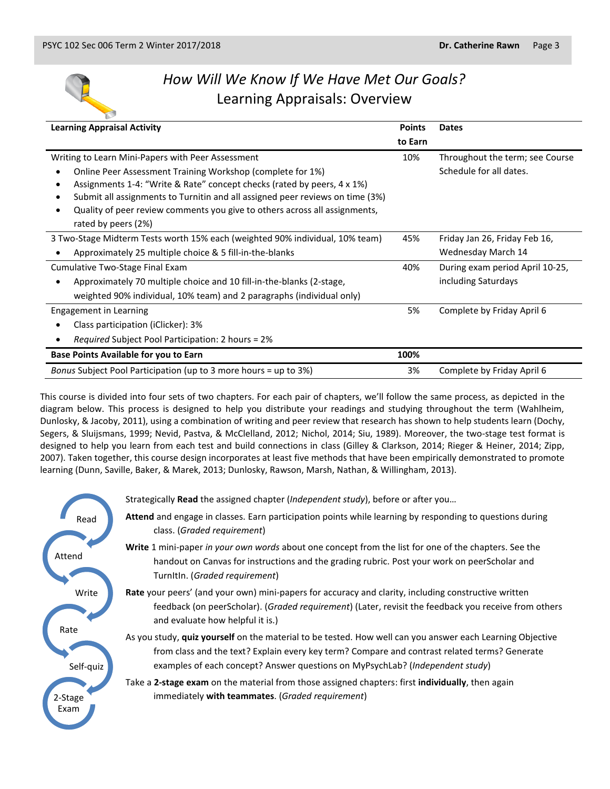

# *How Will We Know If We Have Met Our Goals?* Learning Appraisals: Overview

| <b>Learning Appraisal Activity</b>                                            |         | <b>Dates</b>                    |
|-------------------------------------------------------------------------------|---------|---------------------------------|
|                                                                               | to Earn |                                 |
| Writing to Learn Mini-Papers with Peer Assessment                             |         | Throughout the term; see Course |
| Online Peer Assessment Training Workshop (complete for 1%)                    |         | Schedule for all dates.         |
| Assignments 1-4: "Write & Rate" concept checks (rated by peers, 4 x 1%)       |         |                                 |
| Submit all assignments to Turnitin and all assigned peer reviews on time (3%) |         |                                 |
| Quality of peer review comments you give to others across all assignments,    |         |                                 |
| rated by peers (2%)                                                           |         |                                 |
| 3 Two-Stage Midterm Tests worth 15% each (weighted 90% individual, 10% team)  | 45%     | Friday Jan 26, Friday Feb 16,   |
| Approximately 25 multiple choice & 5 fill-in-the-blanks                       |         | Wednesday March 14              |
| Cumulative Two-Stage Final Exam                                               |         | During exam period April 10-25, |
| Approximately 70 multiple choice and 10 fill-in-the-blanks (2-stage,          |         | including Saturdays             |
| weighted 90% individual, 10% team) and 2 paragraphs (individual only)         |         |                                 |
| Engagement in Learning                                                        | 5%      | Complete by Friday April 6      |
| Class participation (iClicker): 3%                                            |         |                                 |
| Required Subject Pool Participation: 2 hours = 2%                             |         |                                 |
| <b>Base Points Available for you to Earn</b>                                  | 100%    |                                 |
| Bonus Subject Pool Participation (up to 3 more hours = up to 3%)              | 3%      | Complete by Friday April 6      |
|                                                                               |         |                                 |

This course is divided into four sets of two chapters. For each pair of chapters, we'll follow the same process, as depicted in the diagram below. This process is designed to help you distribute your readings and studying throughout the term (Wahlheim, Dunlosky, & Jacoby, 2011), using a combination of writing and peer review that research has shown to help students learn (Dochy, Segers, & Sluijsmans, 1999; Nevid, Pastva, & McClelland, 2012; Nichol, 2014; Siu, 1989). Moreover, the two-stage test format is designed to help you learn from each test and build connections in class (Gilley & Clarkson, 2014; Rieger & Heiner, 2014; Zipp, 2007). Taken together, this course design incorporates at least five methods that have been empirically demonstrated to promote learning (Dunn, Saville, Baker, & Marek, 2013; Dunlosky, Rawson, Marsh, Nathan, & Willingham, 2013).

|                   | Strategically <b>Read</b> the assigned chapter ( <i>Independent study</i> ), before or after you                                                                                                                                                                                                     |
|-------------------|------------------------------------------------------------------------------------------------------------------------------------------------------------------------------------------------------------------------------------------------------------------------------------------------------|
| Read              | Attend and engage in classes. Earn participation points while learning by responding to questions during<br>class. (Graded requirement)                                                                                                                                                              |
| Attend            | Write 1 mini-paper in your own words about one concept from the list for one of the chapters. See the<br>handout on Canvas for instructions and the grading rubric. Post your work on peerScholar and<br>TurnItIn. (Graded requirement)                                                              |
| Write             | Rate your peers' (and your own) mini-papers for accuracy and clarity, including constructive written<br>feedback (on peerScholar). (Graded requirement) (Later, revisit the feedback you receive from others<br>and evaluate how helpful it is.)                                                     |
| Rate<br>Self-quiz | As you study, quiz yourself on the material to be tested. How well can you answer each Learning Objective<br>from class and the text? Explain every key term? Compare and contrast related terms? Generate<br>examples of each concept? Answer questions on MyPsychLab? ( <i>Independent study</i> ) |
| 2-Stage<br>Exam   | Take a 2-stage exam on the material from those assigned chapters: first individually, then again<br>immediately with teammates. (Graded requirement)                                                                                                                                                 |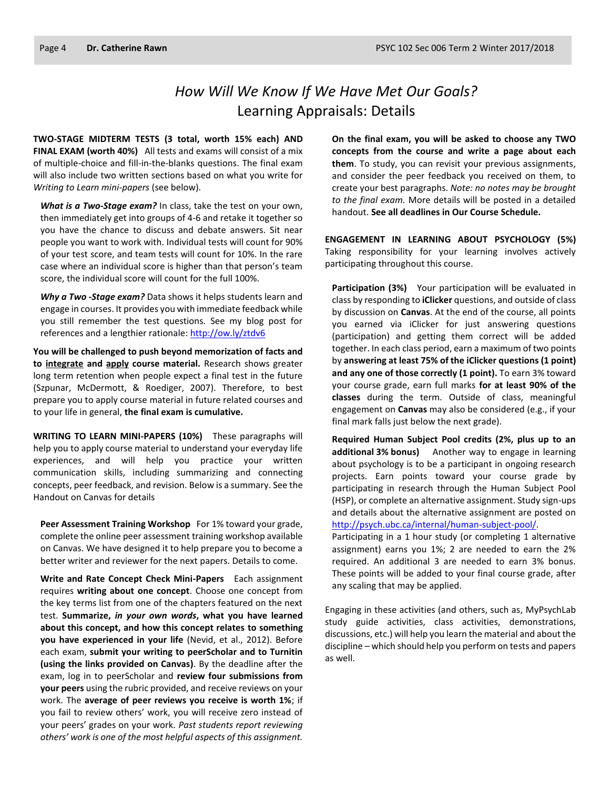# *How Will We Know If We Have Met Our Goals?* Learning Appraisals: Details

**TWO-STAGE MIDTERM TESTS (3 total, worth 15% each) AND FINAL EXAM (worth 40%)** All tests and exams will consist of a mix of multiple-choice and fill-in-the-blanks questions. The final exam will also include two written sections based on what you write for *Writing to Learn mini-papers* (see below)*.*

*What is a Two-Stage exam?* In class, take the test on your own, then immediately get into groups of 4-6 and retake it together so you have the chance to discuss and debate answers. Sit near people you want to work with. Individual tests will count for 90% of your test score, and team tests will count for 10%. In the rare case where an individual score is higher than that person's team score, the individual score will count for the full 100%.

*Why a Two -Stage exam?* Data shows it helps students learn and engage in courses. It provides you with immediate feedback while you still remember the test questions. See my blog post for references and a lengthier rationale:<http://ow.ly/ztdv6>

**You will be challenged to push beyond memorization of facts and to integrate and apply course material.** Research shows greater long term retention when people expect a final test in the future (Szpunar, McDermott, & Roediger, 2007). Therefore, to best prepare you to apply course material in future related courses and to your life in general, **the final exam is cumulative.**

**WRITING TO LEARN MINI-PAPERS (10%)** These paragraphs will help you to apply course material to understand your everyday life experiences, and will help you practice your written communication skills, including summarizing and connecting concepts, peer feedback, and revision. Below is a summary. See the Handout on Canvas for details

**Peer Assessment Training Workshop** For 1% toward your grade, complete the online peer assessment training workshop available on Canvas. We have designed it to help prepare you to become a better writer and reviewer for the next papers. Details to come.

**Write and Rate Concept Check Mini-Papers** Each assignment requires **writing about one concept**. Choose one concept from the key terms list from one of the chapters featured on the next test. **Summarize,** *in your own words***, what you have learned about this concept, and how this concept relates to something you have experienced in your life** (Nevid, et al., 2012). Before each exam, **submit your writing to peerScholar and to Turnitin (using the links provided on Canvas)**. By the deadline after the exam, log in to peerScholar and **review four submissions from your peers** using the rubric provided, and receive reviews on your work. The **average of peer reviews you receive is worth 1%**; if you fail to review others' work, you will receive zero instead of your peers' grades on your work. *Past students report reviewing others' work is one of the most helpful aspects of this assignment.*

**On the final exam, you will be asked to choose any TWO concepts from the course and write a page about each them**. To study, you can revisit your previous assignments, and consider the peer feedback you received on them, to create your best paragraphs. *Note: no notes may be brought to the final exam.* More details will be posted in a detailed handout. **See all deadlines in Our Course Schedule.**

**ENGAGEMENT IN LEARNING ABOUT PSYCHOLOGY (5%)** Taking responsibility for your learning involves actively participating throughout this course.

**Participation (3%)** Your participation will be evaluated in class by responding to **iClicker** questions, and outside of class by discussion on **Canvas**. At the end of the course, all points you earned via iClicker for just answering questions (participation) and getting them correct will be added together. In each class period, earn a maximum of two points by **answering at least 75% of the iClicker questions (1 point) and any one of those correctly (1 point).** To earn 3% toward your course grade, earn full marks **for at least 90% of the classes** during the term. Outside of class, meaningful engagement on **Canvas** may also be considered (e.g., if your final mark falls just below the next grade).

**Required Human Subject Pool credits (2%, plus up to an additional 3% bonus)** Another way to engage in learning about psychology is to be a participant in ongoing research projects. Earn points toward your course grade by participating in research through the Human Subject Pool (HSP), or complete an alternative assignment. Study sign-ups and details about the alternative assignment are posted on [http://psych.ubc.ca/internal/human-subject-pool/.](http://psych.ubc.ca/internal/human-subject-pool/) 

Participating in a 1 hour study (or completing 1 alternative assignment) earns you 1%; 2 are needed to earn the 2% required. An additional 3 are needed to earn 3% bonus. These points will be added to your final course grade, after any scaling that may be applied.

Engaging in these activities (and others, such as, MyPsychLab study guide activities, class activities, demonstrations, discussions, etc.) will help you learn the material and about the discipline – which should help you perform on tests and papers as well.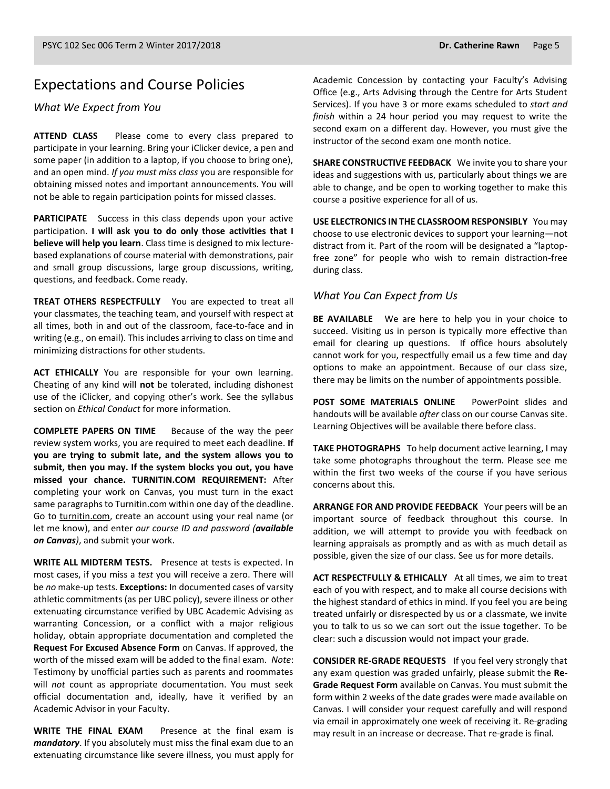#### Expectations and Course Policies

*What We Expect from You*

**ATTEND CLASS** Please come to every class prepared to participate in your learning. Bring your iClicker device, a pen and some paper (in addition to a laptop, if you choose to bring one), and an open mind. *If you must miss class* you are responsible for obtaining missed notes and important announcements. You will not be able to regain participation points for missed classes.

**PARTICIPATE** Success in this class depends upon your active participation. **I will ask you to do only those activities that I believe will help you learn**. Class time is designed to mix lecturebased explanations of course material with demonstrations, pair and small group discussions, large group discussions, writing, questions, and feedback. Come ready.

**TREAT OTHERS RESPECTFULLY** You are expected to treat all your classmates, the teaching team, and yourself with respect at all times, both in and out of the classroom, face-to-face and in writing (e.g., on email). This includes arriving to class on time and minimizing distractions for other students.

**ACT ETHICALLY** You are responsible for your own learning. Cheating of any kind will **not** be tolerated, including dishonest use of the iClicker, and copying other's work. See the syllabus section on *Ethical Conduct* for more information.

**COMPLETE PAPERS ON TIME** Because of the way the peer review system works, you are required to meet each deadline. **If you are trying to submit late, and the system allows you to submit, then you may. If the system blocks you out, you have missed your chance. TURNITIN.COM REQUIREMENT:** After completing your work on Canvas, you must turn in the exact same paragraphs to Turnitin.com within one day of the deadline. Go to [turnitin.com,](http://www.turnitin.com/) create an account using your real name (or let me know), and enter *our course ID and password (available on Canvas)*, and submit your work.

**WRITE ALL MIDTERM TESTS.** Presence at tests is expected. In most cases, if you miss a *test* you will receive a zero. There will be *no* make-up tests. **Exceptions:** In documented cases of varsity athletic commitments (as per UBC policy), severe illness or other extenuating circumstance verified by UBC Academic Advising as warranting Concession, or a conflict with a major religious holiday, obtain appropriate documentation and completed the **Request For Excused Absence Form** on Canvas. If approved, the worth of the missed exam will be added to the final exam. *Note*: Testimony by unofficial parties such as parents and roommates will *not* count as appropriate documentation. You must seek official documentation and, ideally, have it verified by an Academic Advisor in your Faculty.

**WRITE THE FINAL EXAM** Presence at the final exam is *mandatory*. If you absolutely must miss the final exam due to an extenuating circumstance like severe illness, you must apply for Academic Concession by contacting your Faculty's Advising Office (e.g., Arts Advising through the Centre for Arts Student Services). If you have 3 or more exams scheduled to *start and finish* within a 24 hour period you may request to write the second exam on a different day. However, you must give the instructor of the second exam one month notice.

**SHARE CONSTRUCTIVE FEEDBACK** We invite you to share your ideas and suggestions with us, particularly about things we are able to change, and be open to working together to make this course a positive experience for all of us.

**USE ELECTRONICS IN THE CLASSROOM RESPONSIBLY** You may choose to use electronic devices to support your learning—not distract from it. Part of the room will be designated a "laptopfree zone" for people who wish to remain distraction-free during class.

#### *What You Can Expect from Us*

**BE AVAILABLE** We are here to help you in your choice to succeed. Visiting us in person is typically more effective than email for clearing up questions. If office hours absolutely cannot work for you, respectfully email us a few time and day options to make an appointment. Because of our class size, there may be limits on the number of appointments possible.

**POST SOME MATERIALS ONLINE** PowerPoint slides and handouts will be available *after* class on our course Canvas site. Learning Objectives will be available there before class.

**TAKE PHOTOGRAPHS** To help document active learning, I may take some photographs throughout the term. Please see me within the first two weeks of the course if you have serious concerns about this.

**ARRANGE FOR AND PROVIDE FEEDBACK** Your peers will be an important source of feedback throughout this course. In addition, we will attempt to provide you with feedback on learning appraisals as promptly and as with as much detail as possible, given the size of our class. See us for more details.

**ACT RESPECTFULLY & ETHICALLY** At all times, we aim to treat each of you with respect, and to make all course decisions with the highest standard of ethics in mind. If you feel you are being treated unfairly or disrespected by us or a classmate, we invite you to talk to us so we can sort out the issue together. To be clear: such a discussion would not impact your grade.

**CONSIDER RE-GRADE REQUESTS** If you feel very strongly that any exam question was graded unfairly, please submit the **Re-Grade Request Form** available on Canvas. You must submit the form within 2 weeks of the date grades were made available on Canvas. I will consider your request carefully and will respond via email in approximately one week of receiving it. Re-grading may result in an increase or decrease. That re-grade is final.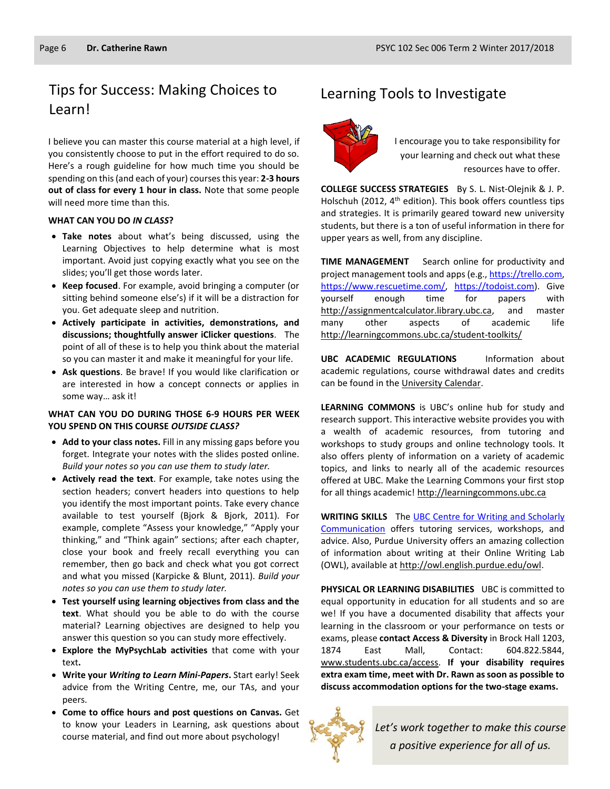# Tips for Success: Making Choices to Learning Tools to Investigate Learn!

I believe you can master this course material at a high level, if you consistently choose to put in the effort required to do so. Here's a rough guideline for how much time you should be spending on this (and each of your) courses this year: **2-3 hours out of class for every 1 hour in class.** Note that some people will need more time than this.

#### **WHAT CAN YOU DO** *IN CLASS***?**

- **Take notes** about what's being discussed, using the Learning Objectives to help determine what is most important. Avoid just copying exactly what you see on the slides; you'll get those words later.
- **Keep focused**. For example, avoid bringing a computer (or sitting behind someone else's) if it will be a distraction for you. Get adequate sleep and nutrition.
- **Actively participate in activities, demonstrations, and discussions; thoughtfully answer iClicker questions**. The point of all of these is to help you think about the material so you can master it and make it meaningful for your life.
- **Ask questions**. Be brave! If you would like clarification or are interested in how a concept connects or applies in some way… ask it!

#### **WHAT CAN YOU DO DURING THOSE 6-9 HOURS PER WEEK YOU SPEND ON THIS COURSE** *OUTSIDE CLASS?*

- **Add to your class notes.** Fill in any missing gaps before you forget. Integrate your notes with the slides posted online. *Build your notes so you can use them to study later.*
- **Actively read the text**. For example, take notes using the section headers; convert headers into questions to help you identify the most important points. Take every chance available to test yourself (Bjork & Bjork, 2011). For example, complete "Assess your knowledge," "Apply your thinking," and "Think again" sections; after each chapter, close your book and freely recall everything you can remember, then go back and check what you got correct and what you missed (Karpicke & Blunt, 2011). *Build your notes so you can use them to study later.*
- **Test yourself using learning objectives from class and the text**. What should you be able to do with the course material? Learning objectives are designed to help you answer this question so you can study more effectively.
- **Explore the MyPsychLab activities** that come with your text**.**
- **Write your** *Writing to Learn Mini-Papers***.** Start early! Seek advice from the Writing Centre, me, our TAs, and your peers.
- **Come to office hours and post questions on Canvas.** Get to know your Leaders in Learning, ask questions about course material, and find out more about psychology!



I encourage you to take responsibility for your learning and check out what these resources have to offer.

**COLLEGE SUCCESS STRATEGIES** By S. L. Nist-Olejnik & J. P. Holschuh (2012, 4<sup>th</sup> edition). This book offers countless tips and strategies. It is primarily geared toward new university students, but there is a ton of useful information in there for upper years as well, from any discipline.

**TIME MANAGEMENT** Search online for productivity and project management tools and apps (e.g., https://trello.com, [https://www.rescuetime.com/,](https://www.rescuetime.com/) [https://todoist.com\)](https://todoist.com/). Give yourself enough time for papers with [http://assignmentcalculator.library.ubc.ca,](http://assignmentcalculator.library.ubc.ca/) and master many other aspects of academic life <http://learningcommons.ubc.ca/student-toolkits/>

**UBC ACADEMIC REGULATIONS** Information about academic regulations, course withdrawal dates and credits can be found in th[e University Calendar.](http://students.ubc.ca/calendar/academicyear.cfm)

**LEARNING COMMONS** is UBC's online hub for study and research support. This interactive website provides you with a wealth of academic resources, from tutoring and workshops to study groups and online technology tools. It also offers plenty of information on a variety of academic topics, and links to nearly all of the academic resources offered at UBC. Make the Learning Commons your first stop for all things academic! [http://learningcommons.ubc.ca](http://learningcommons.ubc.ca/)

**WRITING SKILLS** Th[e UBC Centre for Writing and Scholarly](http://learningcommons.ubc.ca/tutoring-studying/writing/)  [Communication](http://learningcommons.ubc.ca/tutoring-studying/writing/) offers tutoring services, workshops, and advice. Also, Purdue University offers an amazing collection of information about writing at their Online Writing Lab (OWL), available a[t http://owl.english.purdue.edu/owl.](http://owl.english.purdue.edu/owl/)

**PHYSICAL OR LEARNING DISABILITIES** UBC is committed to equal opportunity in education for all students and so are we! If you have a documented disability that affects your learning in the classroom or your performance on tests or exams, please **contact Access & Diversity** in Brock Hall 1203, 1874 East Mall, Contact: 604.822.5844, [www.students.ubc.ca/access.](http://www.students.ubc.ca/access) **If your disability requires extra exam time, meet with Dr. Rawn as soon as possible to discuss accommodation options for the two-stage exams.**



*Let's work together to make this course a positive experience for all of us.*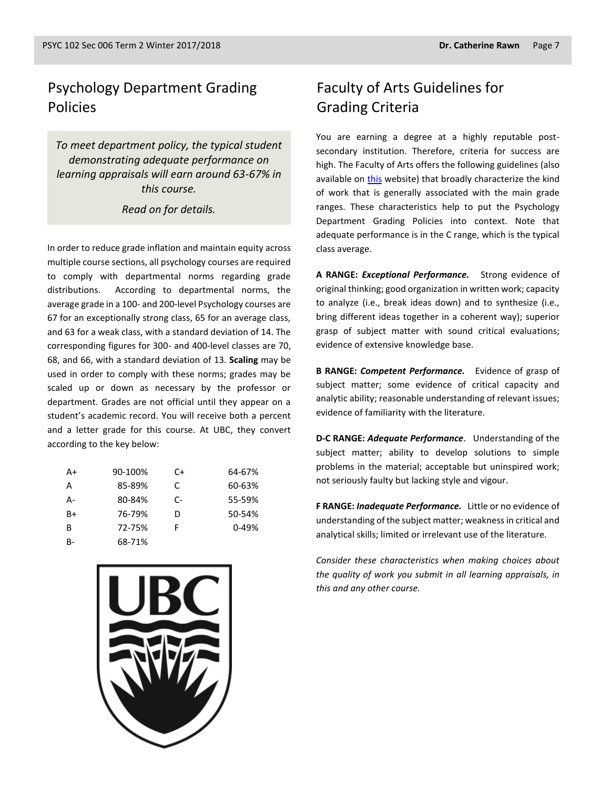## Psychology Department Grading Policies

*To meet department policy, the typical student demonstrating adequate performance on learning appraisals will earn around 63-67% in this course.* 

*Read on for details.*

In order to reduce grade inflation and maintain equity across multiple course sections, all psychology courses are required to comply with departmental norms regarding grade distributions. According to departmental norms, the average grade in a 100- and 200-level Psychology courses are 67 for an exceptionally strong class, 65 for an average class, and 63 for a weak class, with a standard deviation of 14. The corresponding figures for 300- and 400-level classes are 70, 68, and 66, with a standard deviation of 13. **Scaling** may be used in order to comply with these norms; grades may be scaled up or down as necessary by the professor or department. Grades are not official until they appear on a student's academic record. You will receive both a percent and a letter grade for this course. At UBC, they convert according to the key below:

| A+   | 90-100% | C+ | 64-67%    |
|------|---------|----|-----------|
| А    | 85-89%  | C. | 60-63%    |
| А-   | 80-84%  | C- | 55-59%    |
| $B+$ | 76-79%  | D  | 50-54%    |
| B    | 72-75%  | F  | $0 - 49%$ |
| B-   | 68-71%  |    |           |



# Faculty of Arts Guidelines for Grading Criteria

You are earning a degree at a highly reputable postsecondary institution. Therefore, criteria for success are high. The Faculty of Arts offers the following guidelines (also available on [this](http://legacy.arts.ubc.ca/faculty-amp-staff/resources/courses-and-grading/grading-guidelines.html) website) that broadly characterize the kind of work that is generally associated with the main grade ranges. These characteristics help to put the Psychology Department Grading Policies into context. Note that adequate performance is in the C range, which is the typical class average.

**A RANGE:** *Exceptional Performance.* Strong evidence of original thinking; good organization in written work; capacity to analyze (i.e., break ideas down) and to synthesize (i.e., bring different ideas together in a coherent way); superior grasp of subject matter with sound critical evaluations; evidence of extensive knowledge base.

**B RANGE:** *Competent Performance.* Evidence of grasp of subject matter; some evidence of critical capacity and analytic ability; reasonable understanding of relevant issues; evidence of familiarity with the literature.

**D-C RANGE:** *Adequate Performance*. Understanding of the subject matter; ability to develop solutions to simple problems in the material; acceptable but uninspired work; not seriously faulty but lacking style and vigour.

**F RANGE:** *Inadequate Performance.* Little or no evidence of understanding of the subject matter; weakness in critical and analytical skills; limited or irrelevant use of the literature.

*Consider these characteristics when making choices about the quality of work you submit in all learning appraisals, in this and any other course.*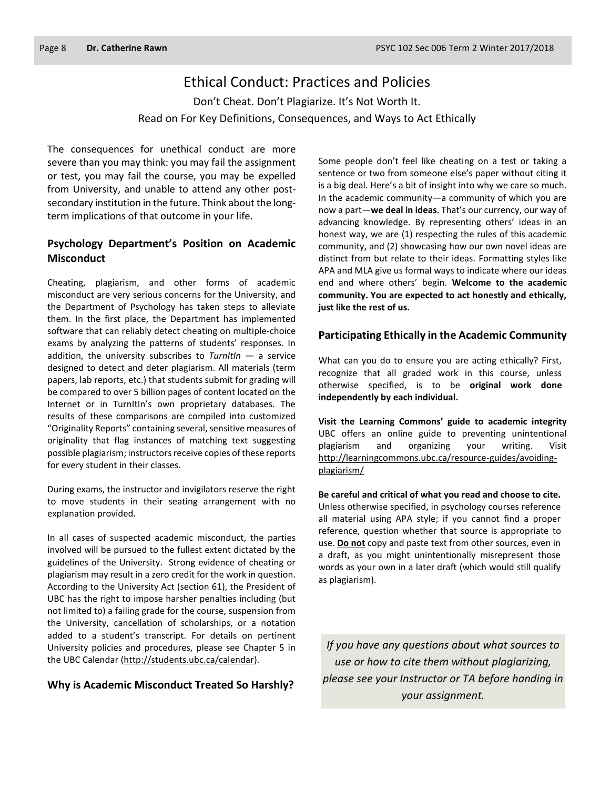## Ethical Conduct: Practices and Policies

Don't Cheat. Don't Plagiarize. It's Not Worth It. Read on For Key Definitions, Consequences, and Ways to Act Ethically

The consequences for unethical conduct are more severe than you may think: you may fail the assignment or test, you may fail the course, you may be expelled from University, and unable to attend any other postsecondary institution in the future. Think about the longterm implications of that outcome in your life.

#### **Psychology Department's Position on Academic Misconduct**

Cheating, plagiarism, and other forms of academic misconduct are very serious concerns for the University, and the Department of Psychology has taken steps to alleviate them. In the first place, the Department has implemented software that can reliably detect cheating on multiple-choice exams by analyzing the patterns of students' responses. In addition, the university subscribes to *TurnItIn* — a service designed to detect and deter plagiarism. All materials (term papers, lab reports, etc.) that students submit for grading will be compared to over 5 billion pages of content located on the Internet or in TurnItIn's own proprietary databases. The results of these comparisons are compiled into customized "Originality Reports" containing several, sensitive measures of originality that flag instances of matching text suggesting possible plagiarism; instructors receive copies of these reports for every student in their classes.

During exams, the instructor and invigilators reserve the right to move students in their seating arrangement with no explanation provided.

In all cases of suspected academic misconduct, the parties involved will be pursued to the fullest extent dictated by the guidelines of the University. Strong evidence of cheating or plagiarism may result in a zero credit for the work in question. According to the University Act (section 61), the President of UBC has the right to impose harsher penalties including (but not limited to) a failing grade for the course, suspension from the University, cancellation of scholarships, or a notation added to a student's transcript. For details on pertinent University policies and procedures, please see Chapter 5 in the UBC Calendar [\(http://students.ubc.ca/calendar\)](http://students.ubc.ca/calendar).

#### **Why is Academic Misconduct Treated So Harshly?**

Some people don't feel like cheating on a test or taking a sentence or two from someone else's paper without citing it is a big deal. Here's a bit of insight into why we care so much. In the academic community—a community of which you are now a part—**we deal in ideas**. That's our currency, our way of advancing knowledge. By representing others' ideas in an honest way, we are (1) respecting the rules of this academic community, and (2) showcasing how our own novel ideas are distinct from but relate to their ideas. Formatting styles like APA and MLA give us formal ways to indicate where our ideas end and where others' begin. **Welcome to the academic community. You are expected to act honestly and ethically, just like the rest of us.**

#### **Participating Ethically in the Academic Community**

What can you do to ensure you are acting ethically? First, recognize that all graded work in this course, unless otherwise specified, is to be **original work done independently by each individual.**

**Visit the Learning Commons' guide to academic integrity**  UBC offers an online guide to preventing unintentional plagiarism and organizing your writing. Visit [http://learningcommons.ubc.ca/resource-guides/avoiding](http://learningcommons.ubc.ca/resource-guides/avoiding-plagiarism/)[plagiarism/](http://learningcommons.ubc.ca/resource-guides/avoiding-plagiarism/)

**Be careful and critical of what you read and choose to cite.** Unless otherwise specified, in psychology courses reference all material using APA style; if you cannot find a proper reference, question whether that source is appropriate to use. **Do not** copy and paste text from other sources, even in a draft, as you might unintentionally misrepresent those words as your own in a later draft (which would still qualify as plagiarism).

*If you have any questions about what sources to use or how to cite them without plagiarizing, please see your Instructor or TA before handing in your assignment.*